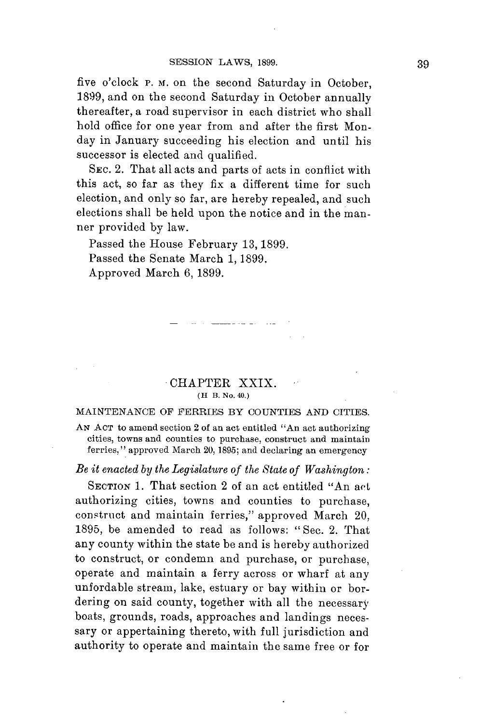five o'clock **P. M.** on the second Saturday in October, **1899,** and on the second Saturday in October annually thereafter, a road supervisor in each district who shall hold office for one year from and after the first Monday in January succeeding his election and until his successor is elected and qualified.

SEC. 2. That all acts and parts of acts in conflict with this act, so far as they fix a different time for such election, and only so far, are hereby repealed, and such elections shall be held upon the notice and in the manner provided **by** law.

Passed the House February **13, 1899.** Passed the Senate March **1, 1899.** Approved March **6, 1899.**

## CHAPTER XXIX. **(H B. No. 40.)**

<u>22</u>252 2000

## **MAINTENANCE** OF FERRIES BY **COUNTIES AND** CITIES.

**AN ACT** to amend section 2 of an act entitled "An act authorizing cities, towns and counties to purchase, construct and maintain ferries," approved March **20,1895;** and declaring an emergency

*Be it enacted by the Legislature of the State of Washington:*

SECTION 1. That section 2 of an act entitled "An act authorizing cities, towns and counties to purchase, construct and maintain ferries," approved March 20, **1895,** be amended to read as follows: **"** Sec. 2. That any county within the state be and is hereby authorized to construct, or condemn and purchase, or purchase, operate and maintain a ferry across or wharf at any unfordable stream, lake, estuary or bay within or bordering on said county, together with all the necessary boats, grounds, roads, approaches and landings necessary or appertaining thereto, with full jurisdiction and authority to operate and maintain the same free or for